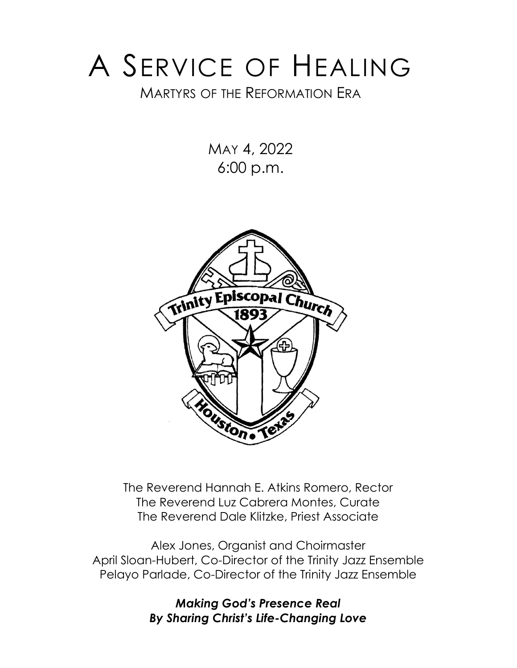# A SERVICE OF HEALING

# MARTYRS OF THE REFORMATION ERA

MAY 4, 2022 6:00 p.m.



The Reverend Hannah E. Atkins Romero, Rector The Reverend Luz Cabrera Montes, Curate The Reverend Dale Klitzke, Priest Associate

Alex Jones, Organist and Choirmaster April Sloan-Hubert, Co-Director of the Trinity Jazz Ensemble Pelayo Parlade, Co-Director of the Trinity Jazz Ensemble

> *Making God's Presence Real By Sharing Christ's Life-Changing Love*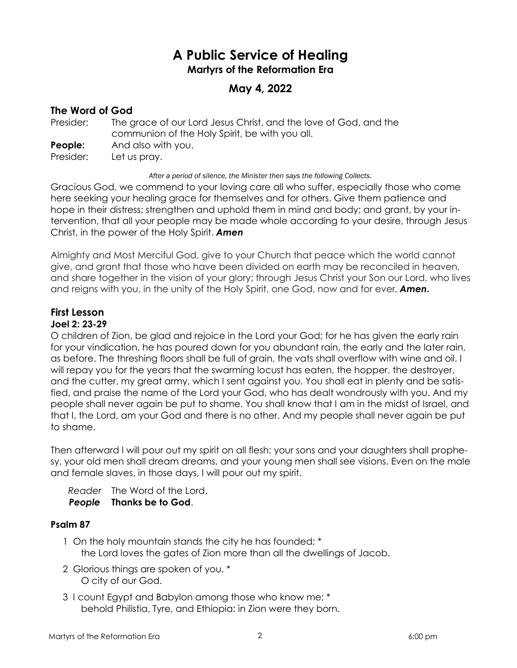# **A Public Service of Healing Martyrs of the Reformation Era**

## **May 4, 2022**

#### **The Word of God**

| The grace of our Lord Jesus Christ, and the love of God, and the |
|------------------------------------------------------------------|
| communion of the Holy Spirit, be with you all.                   |
| And also with you.                                               |
| Let us pray.                                                     |
|                                                                  |

*After a period of silence, the Minister then says the following Collects.*

Gracious God, we commend to your loving care all who suffer, especially those who come here seeking your healing grace for themselves and for others. Give them patience and hope in their distress; strengthen and uphold them in mind and body; and grant, by your intervention, that all your people may be made whole according to your desire, through Jesus Christ, in the power of the Holy Spirit. *Amen* 

Almighty and Most Merciful God, give to your Church that peace which the world cannot give, and grant that those who have been divided on earth may be reconciled in heaven, and share together in the vision of your glory; through Jesus Christ your Son our Lord, who lives and reigns with you, in the unity of the Holy Spirit, one God, now and for ever. *Amen***.**

## **First Lesson**

#### **Joel 2: 23-29**

O children of Zion, be glad and rejoice in the Lord your God; for he has given the early rain for your vindication, he has poured down for you abundant rain, the early and the later rain, as before. The threshing floors shall be full of grain, the vats shall overflow with wine and oil. I will repay you for the years that the swarming locust has eaten, the hopper, the destroyer, and the cutter, my great army, which I sent against you. You shall eat in plenty and be satisfied, and praise the name of the Lord your God, who has dealt wondrously with you. And my people shall never again be put to shame. You shall know that I am in the midst of Israel, and that I, the Lord, am your God and there is no other. And my people shall never again be put to shame.

Then afterward I will pour out my spirit on all flesh; your sons and your daughters shall prophesy, your old men shall dream dreams, and your young men shall see visions. Even on the male and female slaves, in those days, I will pour out my spirit.

 *Reader* The Word of the Lord.  *People* **Thanks be to God**.

#### **Psalm 87**

- 1 On the holy mountain stands the city he has founded; \* the Lord loves the gates of Zion more than all the dwellings of Jacob.
- 2 Glorious things are spoken of you, \* O city of our God.
- 3 I count Egypt and Babylon among those who know me; \* behold Philistia, Tyre, and Ethiopia: in Zion were they born.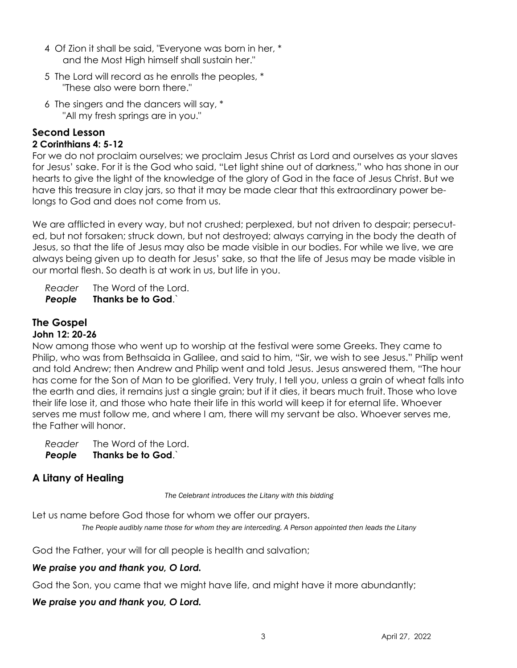- 4 Of Zion it shall be said, "Everyone was born in her, \* and the Most High himself shall sustain her."
- 5 The Lord will record as he enrolls the peoples, \* "These also were born there."
- 6 The singers and the dancers will say, \* "All my fresh springs are in you."

#### **Second Lesson 2 Corinthians 4: 5-12**

For we do not proclaim ourselves; we proclaim Jesus Christ as Lord and ourselves as your slaves for Jesus' sake. For it is the God who said, "Let light shine out of darkness," who has shone in our hearts to give the light of the knowledge of the glory of God in the face of Jesus Christ. But we have this treasure in clay jars, so that it may be made clear that this extraordinary power belongs to God and does not come from us.

We are afflicted in every way, but not crushed; perplexed, but not driven to despair; persecuted, but not forsaken; struck down, but not destroyed; always carrying in the body the death of Jesus, so that the life of Jesus may also be made visible in our bodies. For while we live, we are always being given up to death for Jesus' sake, so that the life of Jesus may be made visible in our mortal flesh. So death is at work in us, but life in you.

 *Reader* The Word of the Lord.  *People* **Thanks be to God**.`

# **The Gospel**

## **John 12: 20-26**

Now among those who went up to worship at the festival were some Greeks. They came to Philip, who was from Bethsaida in Galilee, and said to him, "Sir, we wish to see Jesus." Philip went and told Andrew; then Andrew and Philip went and told Jesus. Jesus answered them, "The hour has come for the Son of Man to be glorified. Very truly, I tell you, unless a grain of wheat falls into the earth and dies, it remains just a single grain; but if it dies, it bears much fruit. Those who love their life lose it, and those who hate their life in this world will keep it for eternal life. Whoever serves me must follow me, and where I am, there will my servant be also. Whoever serves me, the Father will honor.

 *Reader* The Word of the Lord.  *People* **Thanks be to God**.`

## **A Litany of Healing**

*The Celebrant introduces the Litany with this bidding* 

Let us name before God those for whom we offer our prayers.

*The People audibly name those for whom they are interceding. A Person appointed then leads the Litany*

God the Father, your will for all people is health and salvation;

#### *We praise you and thank you, O Lord.*

God the Son, you came that we might have life, and might have it more abundantly;

#### *We praise you and thank you, O Lord.*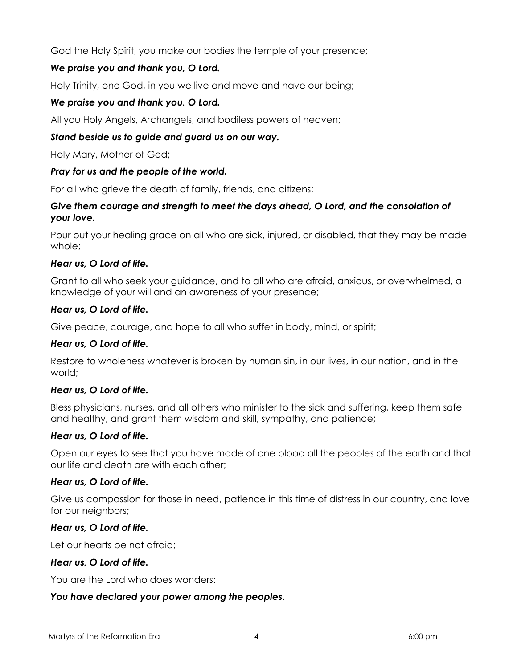God the Holy Spirit, you make our bodies the temple of your presence;

## *We praise you and thank you, O Lord.*

Holy Trinity, one God, in you we live and move and have our being;

### *We praise you and thank you, O Lord.*

All you Holy Angels, Archangels, and bodiless powers of heaven;

#### *Stand beside us to guide and guard us on our way.*

Holy Mary, Mother of God;

#### *Pray for us and the people of the world.*

For all who grieve the death of family, friends, and citizens;

#### *Give them courage and strength to meet the days ahead, O Lord, and the consolation of your love.*

Pour out your healing grace on all who are sick, injured, or disabled, that they may be made whole;

#### *Hear us, O Lord of life.*

Grant to all who seek your guidance, and to all who are afraid, anxious, or overwhelmed, a knowledge of your will and an awareness of your presence;

#### *Hear us, O Lord of life.*

Give peace, courage, and hope to all who suffer in body, mind, or spirit;

#### *Hear us, O Lord of life.*

Restore to wholeness whatever is broken by human sin, in our lives, in our nation, and in the world;

#### *Hear us, O Lord of life.*

Bless physicians, nurses, and all others who minister to the sick and suffering, keep them safe and healthy, and grant them wisdom and skill, sympathy, and patience;

#### *Hear us, O Lord of life.*

Open our eyes to see that you have made of one blood all the peoples of the earth and that our life and death are with each other;

#### *Hear us, O Lord of life.*

Give us compassion for those in need, patience in this time of distress in our country, and love for our neighbors;

#### *Hear us, O Lord of life.*

Let our hearts be not afraid;

#### *Hear us, O Lord of life.*

You are the Lord who does wonders:

#### *You have declared your power among the peoples.*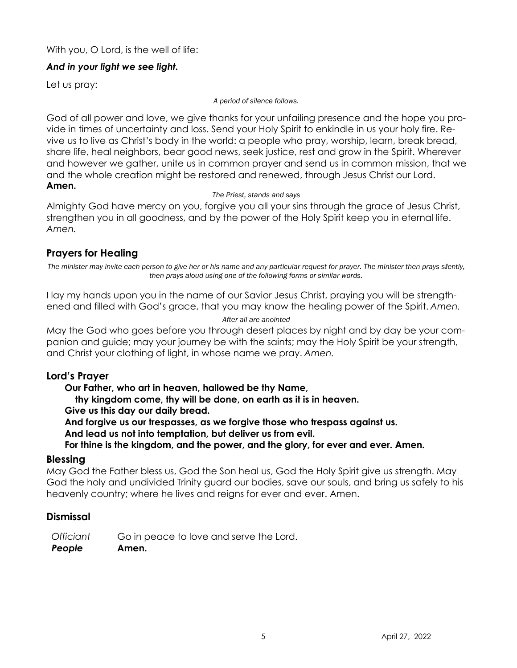With you, O Lord, is the well of life:

## *And in your light we see light.*

Let us pray:

#### *A period of silence follows.*

God of all power and love, we give thanks for your unfailing presence and the hope you provide in times of uncertainty and loss. Send your Holy Spirit to enkindle in us your holy fire. Revive us to live as Christ's body in the world: a people who pray, worship, learn, break bread, share life, heal neighbors, bear good news, seek justice, rest and grow in the Spirit. Wherever and however we gather, unite us in common prayer and send us in common mission, that we and the whole creation might be restored and renewed, through Jesus Christ our Lord. **Amen.**

#### *The Priest, stands and says*

Almighty God have mercy on you, forgive you all your sins through the grace of Jesus Christ, strengthen you in all goodness, and by the power of the Holy Spirit keep you in eternal life. *Amen.* 

## **Prayers for Healing**

*The minister may invite each person to give her or his name and any particular request for prayer. The minister then prays silently, then prays aloud using one of the following forms or similar words.* 

I lay my hands upon you in the name of our Savior Jesus Christ, praying you will be strengthened and filled with God's grace, that you may know the healing power of the Spirit. *Amen.* 

#### *After all are anointed*

May the God who goes before you through desert places by night and by day be your companion and guide; may your journey be with the saints; may the Holy Spirit be your strength, and Christ your clothing of light, in whose name we pray. *Amen.* 

## **Lord's Prayer**

**Our Father, who art in heaven, hallowed be thy Name, thy kingdom come, thy will be done, on earth as it is in heaven. Give us this day our daily bread. And forgive us our trespasses, as we forgive those who trespass against us. And lead us not into temptation, but deliver us from evil. For thine is the kingdom, and the power, and the glory, for ever and ever. Amen.** 

#### **Blessing**

May God the Father bless us, God the Son heal us, God the Holy Spirit give us strength. May God the holy and undivided Trinity guard our bodies, save our souls, and bring us safely to his heavenly country; where he lives and reigns for ever and ever. Amen.

## **Dismissal**

 *Officiant* Go in peace to love and serve the Lord.

 *People* **Amen.**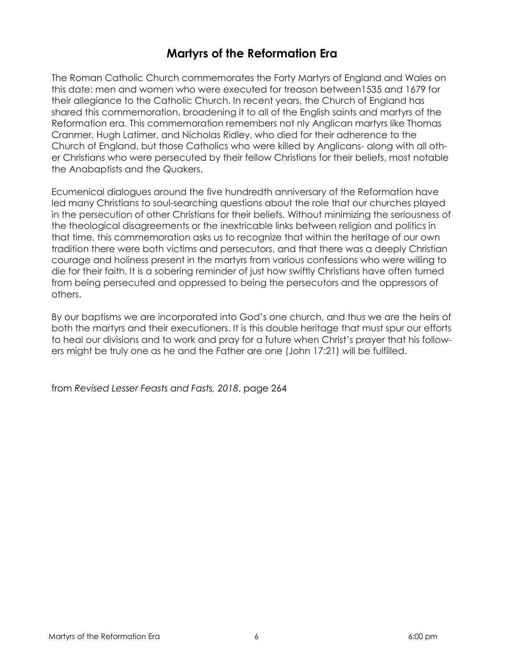## **Martyrs of the Reformation Era**

The Roman Catholic Church commemorates the Forty Martyrs of England and Wales on this date: men and women who were executed for treason between1535 and 1679 for their allegiance to the Catholic Church. In recent years, the Church of England has shared this commemoration, broadening it to all of the English saints and martyrs of the Reformation era. This commemoration remembers not nly Anglican martyrs like Thomas Cranmer, Hugh Latimer, and Nicholas Ridley, who died for their adherence to the Church of England, but those Catholics who were killed by Anglicans- along with all other Christians who were persecuted by their fellow Christians for their beliefs, most notable the Anabaptists and the Quakers.

Ecumenical dialogues around the five hundredth anniversary of the Reformation have led many Christians to soul-searching questions about the role that our churches played in the persecution of other Christians for their beliefs. Without minimizing the seriousness of the theological disagreements or the inextricable links between religion and politics in that time, this commemoration asks us to recognize that within the heritage of our own tradition there were both victims and persecutors, and that there was a deeply Christian courage and holiness present in the martyrs from various confessions who were willing to die for their faith. It is a sobering reminder of just how swiftly Christians have often turned from being persecuted and oppressed to being the persecutors and the oppressors of others.

By our baptisms we are incorporated into God's one church, and thus we are the heirs of both the martyrs and their executioners. It is this double heritage that must spur our efforts to heal our divisions and to work and pray for a future when Christ's prayer that his followers might be truly one as he and the Father are one (John 17:21) will be fulfilled.

from *Revised Lesser Feasts and Fasts, 2018*, page 264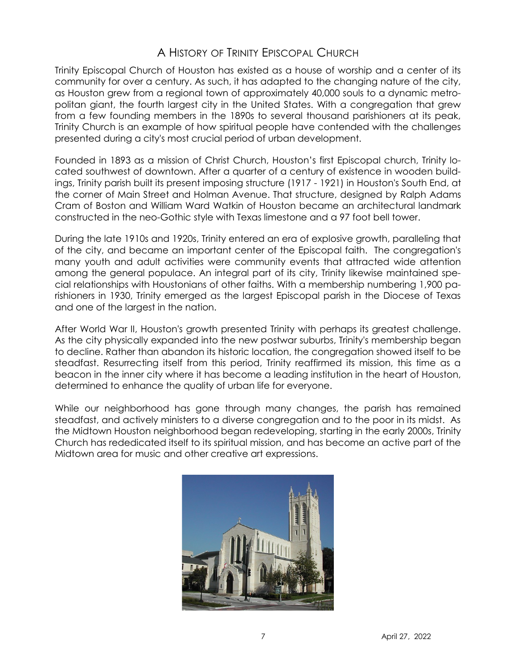# A HISTORY OF TRINITY EPISCOPAL CHURCH

Trinity Episcopal Church of Houston has existed as a house of worship and a center of its community for over a century. As such, it has adapted to the changing nature of the city, as Houston grew from a regional town of approximately 40,000 souls to a dynamic metropolitan giant, the fourth largest city in the United States. With a congregation that grew from a few founding members in the 1890s to several thousand parishioners at its peak, Trinity Church is an example of how spiritual people have contended with the challenges presented during a city's most crucial period of urban development.

Founded in 1893 as a mission of Christ Church, Houston's first Episcopal church, Trinity located southwest of downtown. After a quarter of a century of existence in wooden buildings, Trinity parish built its present imposing structure (1917 - 1921) in Houston's South End, at the corner of Main Street and Holman Avenue. That structure, designed by Ralph Adams Cram of Boston and William Ward Watkin of Houston became an architectural landmark constructed in the neo-Gothic style with Texas limestone and a 97 foot bell tower.

During the late 1910s and 1920s, Trinity entered an era of explosive growth, paralleling that of the city, and became an important center of the Episcopal faith. The congregation's many youth and adult activities were community events that attracted wide attention among the general populace. An integral part of its city, Trinity likewise maintained special relationships with Houstonians of other faiths. With a membership numbering 1,900 parishioners in 1930, Trinity emerged as the largest Episcopal parish in the Diocese of Texas and one of the largest in the nation.

After World War II, Houston's growth presented Trinity with perhaps its greatest challenge. As the city physically expanded into the new postwar suburbs, Trinity's membership began to decline. Rather than abandon its historic location, the congregation showed itself to be steadfast. Resurrecting itself from this period, Trinity reaffirmed its mission, this time as a beacon in the inner city where it has become a leading institution in the heart of Houston, determined to enhance the quality of urban life for everyone.

While our neighborhood has gone through many changes, the parish has remained steadfast, and actively ministers to a diverse congregation and to the poor in its midst. As the Midtown Houston neighborhood began redeveloping, starting in the early 2000s, Trinity Church has rededicated itself to its spiritual mission, and has become an active part of the Midtown area for music and other creative art expressions.